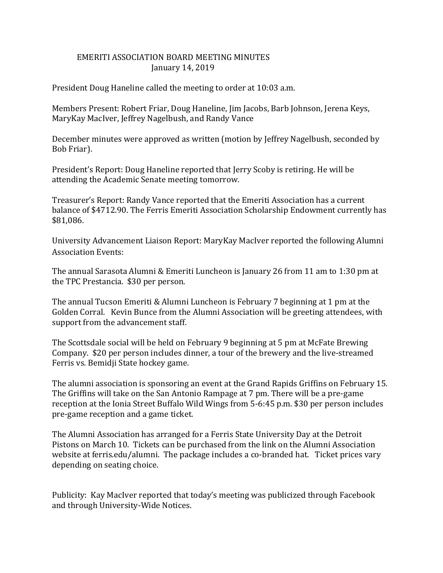## EMERITI ASSOCIATION BOARD MEETING MINUTES January 14, 2019

President Doug Haneline called the meeting to order at 10:03 a.m.

Members Present: Robert Friar, Doug Haneline, Jim Jacobs, Barb Johnson, Jerena Keys, MaryKay MacIver, Jeffrey Nagelbush, and Randy Vance

December minutes were approved as written (motion by Jeffrey Nagelbush, seconded by Bob Friar).

President's Report: Doug Haneline reported that Jerry Scoby is retiring. He will be attending the Academic Senate meeting tomorrow.

Treasurer's Report: Randy Vance reported that the Emeriti Association has a current balance of \$4712.90. The Ferris Emeriti Association Scholarship Endowment currently has \$81,086.

University Advancement Liaison Report: MaryKay MacIver reported the following Alumni Association Events:

The annual Sarasota Alumni & Emeriti Luncheon is January 26 from 11 am to 1:30 pm at the TPC Prestancia. \$30 per person.

The annual Tucson Emeriti & Alumni Luncheon is February 7 beginning at 1 pm at the Golden Corral. Kevin Bunce from the Alumni Association will be greeting attendees, with support from the advancement staff.

The Scottsdale social will be held on February 9 beginning at 5 pm at McFate Brewing Company. \$20 per person includes dinner, a tour of the brewery and the live-streamed Ferris vs. Bemidji State hockey game.

The alumni association is sponsoring an event at the Grand Rapids Griffins on February 15. The Griffins will take on the San Antonio Rampage at 7 pm. There will be a pre-game reception at the Ionia Street Buffalo Wild Wings from 5-6:45 p.m. \$30 per person includes pre-game reception and a game ticket.

The Alumni Association has arranged for a Ferris State University Day at the Detroit Pistons on March 10. Tickets can be purchased from the link on the Alumni Association website at ferris.edu/alumni. The package includes a co-branded hat. Ticket prices vary depending on seating choice.

Publicity: Kay MacIver reported that today's meeting was publicized through Facebook and through University-Wide Notices.